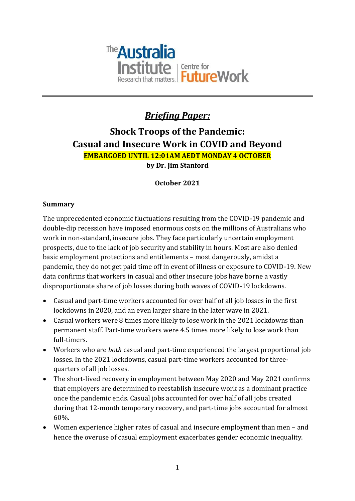

# *Briefing Paper:*

# **Shock Troops of the Pandemic: Casual and Insecure Work in COVID and Beyond EMBARGOED UNTIL 12:01AM AEDT MONDAY 4 OCTOBER by Dr. Jim Stanford**

# **October 2021**

# **Summary**

The unprecedented economic fluctuations resulting from the COVID-19 pandemic and double-dip recession have imposed enormous costs on the millions of Australians who work in non-standard, insecure jobs. They face particularly uncertain employment prospects, due to the lack of job security and stability in hours. Most are also denied basic employment protections and entitlements – most dangerously, amidst a pandemic, they do not get paid time off in event of illness or exposure to COVID-19. New data confirms that workers in casual and other insecure jobs have borne a vastly disproportionate share of job losses during both waves of COVID-19 lockdowns.

- Casual and part-time workers accounted for over half of all job losses in the first lockdowns in 2020, and an even larger share in the later wave in 2021.
- Casual workers were 8 times more likely to lose work in the 2021 lockdowns than permanent staff. Part-time workers were 4.5 times more likely to lose work than full-timers.
- Workers who are *both* casual and part-time experienced the largest proportional job losses. In the 2021 lockdowns, casual part-time workers accounted for threequarters of all job losses.
- The short-lived recovery in employment between May 2020 and May 2021 confirms that employers are determined to reestablish insecure work as a dominant practice once the pandemic ends. Casual jobs accounted for over half of all jobs created during that 12-month temporary recovery, and part-time jobs accounted for almost 60%.
- Women experience higher rates of casual and insecure employment than men and hence the overuse of casual employment exacerbates gender economic inequality.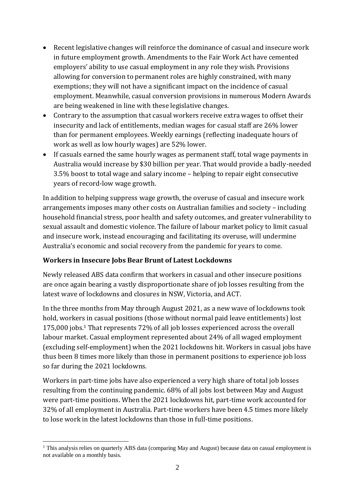- Recent legislative changes will reinforce the dominance of casual and insecure work in future employment growth. Amendments to the Fair Work Act have cemented employers' ability to use casual employment in any role they wish. Provisions allowing for conversion to permanent roles are highly constrained, with many exemptions; they will not have a significant impact on the incidence of casual employment. Meanwhile, casual conversion provisions in numerous Modern Awards are being weakened in line with these legislative changes.
- Contrary to the assumption that casual workers receive extra wages to offset their insecurity and lack of entitlements, median wages for casual staff are 26% lower than for permanent employees. Weekly earnings (reflecting inadequate hours of work as well as low hourly wages) are 52% lower.
- If casuals earned the same hourly wages as permanent staff, total wage payments in Australia would increase by \$30 billion per year. That would provide a badly-needed 3.5% boost to total wage and salary income – helping to repair eight consecutive years of record-low wage growth.

In addition to helping suppress wage growth, the overuse of casual and insecure work arrangements imposes many other costs on Australian families and society – including household financial stress, poor health and safety outcomes, and greater vulnerability to sexual assault and domestic violence. The failure of labour market policy to limit casual and insecure work, instead encouraging and facilitating its overuse, will undermine Australia's economic and social recovery from the pandemic for years to come.

#### **Workers in Insecure Jobs Bear Brunt of Latest Lockdowns**

Newly released ABS data confirm that workers in casual and other insecure positions are once again bearing a vastly disproportionate share of job losses resulting from the latest wave of lockdowns and closures in NSW, Victoria, and ACT.

In the three months from May through August 2021, as a new wave of lockdowns took hold, workers in casual positions (those without normal paid leave entitlements) lost 175,000 jobs.<sup>1</sup> That represents 72% of all job losses experienced across the overall labour market. Casual employment represented about 24% of all waged employment (excluding self-employment) when the 2021 lockdowns hit. Workers in casual jobs have thus been 8 times more likely than those in permanent positions to experience job loss so far during the 2021 lockdowns.

Workers in part-time jobs have also experienced a very high share of total job losses resulting from the continuing pandemic. 68% of all jobs lost between May and August were part-time positions. When the 2021 lockdowns hit, part-time work accounted for 32% of all employment in Australia. Part-time workers have been 4.5 times more likely to lose work in the latest lockdowns than those in full-time positions.

<sup>&</sup>lt;sup>1</sup> This analysis relies on quarterly ABS data (comparing May and August) because data on casual employment is not available on a monthly basis.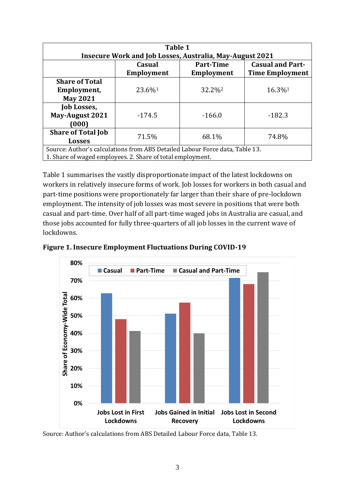| Table 1                                                                      |                   |                    |                         |  |  |
|------------------------------------------------------------------------------|-------------------|--------------------|-------------------------|--|--|
| <b>Insecure Work and Job Losses, Australia, May-August 2021</b>              |                   |                    |                         |  |  |
|                                                                              | Casual            | <b>Part-Time</b>   | <b>Casual and Part-</b> |  |  |
|                                                                              | <b>Employment</b> | Employment         | <b>Time Employment</b>  |  |  |
| <b>Share of Total</b>                                                        |                   |                    |                         |  |  |
| Employment,                                                                  | 23.6%1            | 32.2% <sup>2</sup> | 16.3%1                  |  |  |
| <b>May 2021</b>                                                              |                   |                    |                         |  |  |
| <b>Job Losses,</b>                                                           |                   |                    |                         |  |  |
| <b>May-August 2021</b>                                                       | $-174.5$          | $-166.0$           | $-182.3$                |  |  |
| (000)                                                                        |                   |                    |                         |  |  |
| <b>Share of Total Job</b>                                                    | 71.5%             | 68.1%              | 74.8%                   |  |  |
| <b>Losses</b>                                                                |                   |                    |                         |  |  |
| Source: Author's calculations from ABS Detailed Labour Force data, Table 13. |                   |                    |                         |  |  |
| 1. Share of waged employees. 2. Share of total employment.                   |                   |                    |                         |  |  |

Table 1 summarises the vastly disproportionate impact of the latest lockdowns on workers in relatively insecure forms of work. Job losses for workers in both casual and part-time positions were proportionately far larger than their share of pre-lockdown employment. The intensity of job losses was most severe in positions that were both casual and part-time. Over half of all part-time waged jobs in Australia are casual, and those jobs accounted for fully three-quarters of all job losses in the current wave of lockdowns.



**Figure 1. Insecure Employment Fluctuations During COVID-19**

Source: Author's calculations from ABS Detailed Labour Force data, Table 13.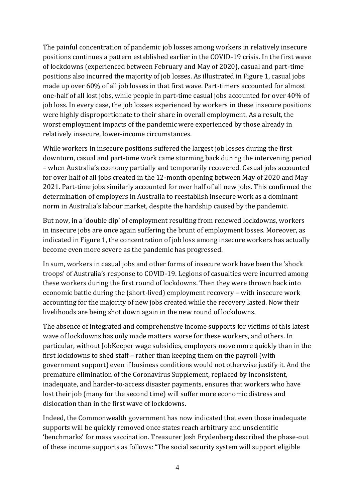The painful concentration of pandemic job losses among workers in relatively insecure positions continues a pattern established earlier in the COVID-19 crisis. In the first wave of lockdowns (experienced between February and May of 2020), casual and part-time positions also incurred the majority of job losses. As illustrated in Figure 1, casual jobs made up over 60% of all job losses in that first wave. Part-timers accounted for almost one-half of all lost jobs, while people in part-time casual jobs accounted for over 40% of job loss. In every case, the job losses experienced by workers in these insecure positions were highly disproportionate to their share in overall employment. As a result, the worst employment impacts of the pandemic were experienced by those already in relatively insecure, lower-income circumstances.

While workers in insecure positions suffered the largest job losses during the first downturn, casual and part-time work came storming back during the intervening period – when Australia's economy partially and temporarily recovered. Casual jobs accounted for over half of all jobs created in the 12-month opening between May of 2020 and May 2021. Part-time jobs similarly accounted for over half of all new jobs. This confirmed the determination of employers in Australia to reestablish insecure work as a dominant norm in Australia's labour market, despite the hardship caused by the pandemic.

But now, in a 'double dip' of employment resulting from renewed lockdowns, workers in insecure jobs are once again suffering the brunt of employment losses. Moreover, as indicated in Figure 1, the concentration of job loss among insecure workers has actually become even more severe as the pandemic has progressed.

In sum, workers in casual jobs and other forms of insecure work have been the 'shock troops' of Australia's response to COVID-19. Legions of casualties were incurred among these workers during the first round of lockdowns. Then they were thrown back into economic battle during the (short-lived) employment recovery – with insecure work accounting for the majority of new jobs created while the recovery lasted. Now their livelihoods are being shot down again in the new round of lockdowns.

The absence of integrated and comprehensive income supports for victims of this latest wave of lockdowns has only made matters worse for these workers, and others. In particular, without JobKeeper wage subsidies, employers move more quickly than in the first lockdowns to shed staff – rather than keeping them on the payroll (with government support) even if business conditions would not otherwise justify it. And the premature elimination of the Coronavirus Supplement, replaced by inconsistent, inadequate, and harder-to-access disaster payments, ensures that workers who have lost their job (many for the second time) will suffer more economic distress and dislocation than in the first wave of lockdowns.

Indeed, the Commonwealth government has now indicated that even those inadequate supports will be quickly removed once states reach arbitrary and unscientific 'benchmarks' for mass vaccination. Treasurer Josh Frydenberg described the phase-out of these income supports as follows: "The social security system will support eligible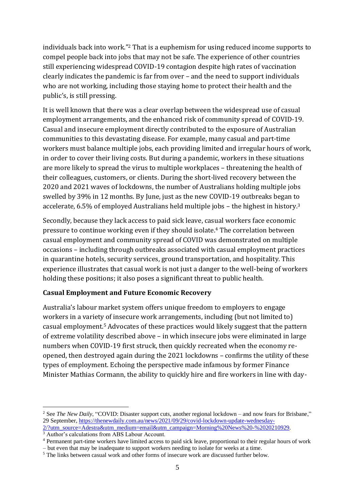individuals back into work." <sup>2</sup> That is a euphemism for using reduced income supports to compel people back into jobs that may not be safe. The experience of other countries still experiencing widespread COVID-19 contagion despite high rates of vaccination clearly indicates the pandemic is far from over – and the need to support individuals who are not working, including those staying home to protect their health and the public's, is still pressing.

It is well known that there was a clear overlap between the widespread use of casual employment arrangements, and the enhanced risk of community spread of COVID-19. Casual and insecure employment directly contributed to the exposure of Australian communities to this devastating disease. For example, many casual and part-time workers must balance multiple jobs, each providing limited and irregular hours of work, in order to cover their living costs. But during a pandemic, workers in these situations are more likely to spread the virus to multiple workplaces – threatening the health of their colleagues, customers, or clients. During the short-lived recovery between the 2020 and 2021 waves of lockdowns, the number of Australians holding multiple jobs swelled by 39% in 12 months. By June, just as the new COVID-19 outbreaks began to accelerate, 6.5% of employed Australians held multiple jobs – the highest in history.<sup>3</sup>

Secondly, because they lack access to paid sick leave, casual workers face economic pressure to continue working even if they should isolate.<sup>4</sup> The correlation between casual employment and community spread of COVID was demonstrated on multiple occasions – including through outbreaks associated with casual employment practices in quarantine hotels, security services, ground transportation, and hospitality. This experience illustrates that casual work is not just a danger to the well-being of workers holding these positions; it also poses a significant threat to public health.

#### **Casual Employment and Future Economic Recovery**

Australia's labour market system offers unique freedom to employers to engage workers in a variety of insecure work arrangements, including (but not limited to) casual employment.<sup>5</sup> Advocates of these practices would likely suggest that the pattern of extreme volatility described above – in which insecure jobs were eliminated in large numbers when COVID-19 first struck, then quickly recreated when the economy reopened, then destroyed again during the 2021 lockdowns – confirms the utility of these types of employment. Echoing the perspective made infamous by former Finance Minister Mathias Cormann, the ability to quickly hire and fire workers in line with day-

[2/?utm\\_source=Adestra&utm\\_medium=email&utm\\_campaign=Morning%20News%20-%2020210929.](https://thenewdaily.com.au/news/2021/09/29/covid-lockdown-update-wednesday-2/?utm_source=Adestra&utm_medium=email&utm_campaign=Morning%20News%20-%2020210929) <sup>3</sup> Author's calculations from ABS Labour Account.

<sup>2</sup> See *The New Daily*, "COVID: Disaster support cuts, another regional lockdown – and now fears for Brisbane," 29 September, [https://thenewdaily.com.au/news/2021/09/29/covid-lockdown-update-wednesday-](https://thenewdaily.com.au/news/2021/09/29/covid-lockdown-update-wednesday-2/?utm_source=Adestra&utm_medium=email&utm_campaign=Morning%20News%20-%2020210929)

<sup>4</sup> Permanent part-time workers have limited access to paid sick leave, proportional to their regular hours of work – but even that may be inadequate to support workers needing to isolate for weeks at a time.

<sup>&</sup>lt;sup>5</sup> The links between casual work and other forms of insecure work are discussed further below.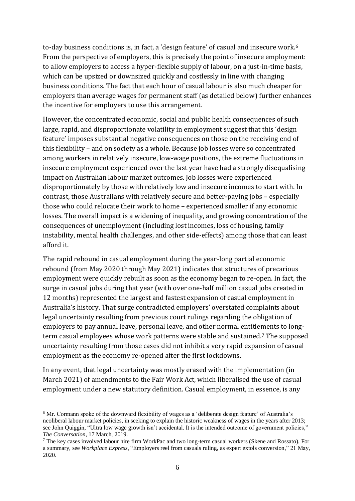to-day business conditions is, in fact, a 'design feature' of casual and insecure work.<sup>6</sup> From the perspective of employers, this is precisely the point of insecure employment: to allow employers to access a hyper-flexible supply of labour, on a just-in-time basis, which can be upsized or downsized quickly and costlessly in line with changing business conditions. The fact that each hour of casual labour is also much cheaper for employers than average wages for permanent staff (as detailed below) further enhances the incentive for employers to use this arrangement.

However, the concentrated economic, social and public health consequences of such large, rapid, and disproportionate volatility in employment suggest that this 'design feature' imposes substantial negative consequences on those on the receiving end of this flexibility – and on society as a whole. Because job losses were so concentrated among workers in relatively insecure, low-wage positions, the extreme fluctuations in insecure employment experienced over the last year have had a strongly disequalising impact on Australian labour market outcomes. Job losses were experienced disproportionately by those with relatively low and insecure incomes to start with. In contrast, those Australians with relatively secure and better-paying jobs – especially those who could relocate their work to home – experienced smaller if any economic losses. The overall impact is a widening of inequality, and growing concentration of the consequences of unemployment (including lost incomes, loss of housing, family instability, mental health challenges, and other side-effects) among those that can least afford it.

The rapid rebound in casual employment during the year-long partial economic rebound (from May 2020 through May 2021) indicates that structures of precarious employment were quickly rebuilt as soon as the economy began to re-open. In fact, the surge in casual jobs during that year (with over one-half million casual jobs created in 12 months) represented the largest and fastest expansion of casual employment in Australia's history. That surge contradicted employers' overstated complaints about legal uncertainty resulting from previous court rulings regarding the obligation of employers to pay annual leave, personal leave, and other normal entitlements to longterm casual employees whose work patterns were stable and sustained.<sup>7</sup> The supposed uncertainty resulting from those cases did not inhibit a very rapid expansion of casual employment as the economy re-opened after the first lockdowns.

In any event, that legal uncertainty was mostly erased with the implementation (in March 2021) of amendments to the Fair Work Act, which liberalised the use of casual employment under a new statutory definition. Casual employment, in essence, is any

<sup>6</sup> Mr. Cormann spoke of the downward flexibility of wages as a 'deliberate design feature' of Australia's neoliberal labour market policies, in seeking to explain the historic weakness of wages in the years after 2013; see John Quiggin, "Ultra low wage growth isn't accidental. It is the intended outcome of government policies," *The Conversation*, 17 March, 2019.

<sup>7</sup> The key cases involved labour hire firm WorkPac and two long-term casual workers (Skene and Rossato). For a summary, see *Workplace Express*, "Employers reel from casuals ruling, as expert extols conversion," 21 May, 2020.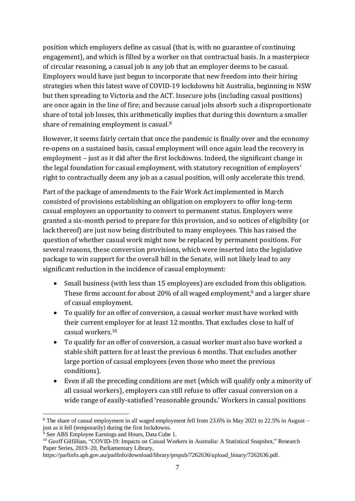position which employers define as casual (that is, with no guarantee of continuing engagement), and which is filled by a worker on that contractual basis. In a masterpiece of circular reasoning, a casual job is any job that an employer deems to be casual. Employers would have just begun to incorporate that new freedom into their hiring strategies when this latest wave of COVID-19 lockdowns hit Australia, beginning in NSW but then spreading to Victoria and the ACT. Insecure jobs (including casual positions) are once again in the line of fire; and because casual jobs absorb such a disproportionate share of total job losses, this arithmetically implies that during this downturn a smaller share of remaining employment is casual.<sup>8</sup>

However, it seems fairly certain that once the pandemic is finally over and the economy re-opens on a sustained basis, casual employment will once again lead the recovery in employment – just as it did after the first lockdowns. Indeed, the significant change in the legal foundation for casual employment, with statutory recognition of employers' right to contractually deem any job as a casual position, will only accelerate this trend.

Part of the package of amendments to the Fair Work Act implemented in March consisted of provisions establishing an obligation on employers to offer long-term casual employees an opportunity to convert to permanent status. Employers were granted a six-month period to prepare for this provision, and so notices of eligibility (or lack thereof) are just now being distributed to many employees. This has raised the question of whether casual work might now be replaced by permanent positions. For several reasons, these conversion provisions, which were inserted into the legislative package to win support for the overall bill in the Senate, will not likely lead to any significant reduction in the incidence of casual employment:

- Small business (with less than 15 employees) are excluded from this obligation. These firms account for about 20% of all waged employment,<sup>9</sup> and a larger share of casual employment.
- To qualify for an offer of conversion, a casual worker must have worked with their current employer for at least 12 months. That excludes close to half of casual workers.<sup>10</sup>
- To qualify for an offer of conversion, a casual worker must also have worked a stable shift pattern for at least the previous 6 months. That excludes another large portion of casual employees (even those who meet the previous conditions).
- Even if all the preceding conditions are met (which will qualify only a minority of all casual workers), employers can still refuse to offer casual conversion on a wide range of easily-satisfied 'reasonable grounds.' Workers in casual positions

<sup>&</sup>lt;sup>8</sup> The share of casual employment in all waged employment fell from 23.6% in May 2021 to 22.5% in August – just as it fell (temporarily) during the first lockdowns.

 $9^9$  See ABS Employee Earnings and Hours, Data Cube 1.

<sup>&</sup>lt;sup>10</sup> Geoff Gilfillian, "COVID-19: Impacts on Casual Workers in Australia: A Statistical Snapshot," Research Paper Series, 2019–20, Parliamentary Library,

https://parlinfo.aph.gov.au/parlInfo/download/library/prspub/7262636/upload\_binary/7262636.pdf.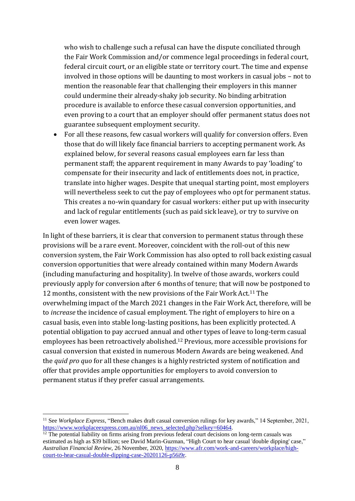who wish to challenge such a refusal can have the dispute conciliated through the Fair Work Commission and/or commence legal proceedings in federal court, federal circuit court, or an eligible state or territory court. The time and expense involved in those options will be daunting to most workers in casual jobs – not to mention the reasonable fear that challenging their employers in this manner could undermine their already-shaky job security. No binding arbitration procedure is available to enforce these casual conversion opportunities, and even proving to a court that an employer should offer permanent status does not guarantee subsequent employment security.

• For all these reasons, few casual workers will qualify for conversion offers. Even those that do will likely face financial barriers to accepting permanent work. As explained below, for several reasons casual employees earn far less than permanent staff; the apparent requirement in many Awards to pay 'loading' to compensate for their insecurity and lack of entitlements does not, in practice, translate into higher wages. Despite that unequal starting point, most employers will nevertheless seek to cut the pay of employees who opt for permanent status. This creates a no-win quandary for casual workers: either put up with insecurity and lack of regular entitlements (such as paid sick leave), or try to survive on even lower wages.

In light of these barriers, it is clear that conversion to permanent status through these provisions will be a rare event. Moreover, coincident with the roll-out of this new conversion system, the Fair Work Commission has also opted to roll back existing casual conversion opportunities that were already contained within many Modern Awards (including manufacturing and hospitality). In twelve of those awards, workers could previously apply for conversion after 6 months of tenure; that will now be postponed to 12 months, consistent with the new provisions of the Fair Work Act.<sup>11</sup> The overwhelming impact of the March 2021 changes in the Fair Work Act, therefore, will be to *increase* the incidence of casual employment. The right of employers to hire on a casual basis, even into stable long-lasting positions, has been explicitly protected. A potential obligation to pay accrued annual and other types of leave to long-term casual employees has been retroactively abolished.<sup>12</sup> Previous, more accessible provisions for casual conversion that existed in numerous Modern Awards are being weakened. And the *quid pro quo* for all these changes is a highly restricted system of notification and offer that provides ample opportunities for employers to avoid conversion to permanent status if they prefer casual arrangements.

<sup>&</sup>lt;sup>11</sup> See *Workplace Express*, "Bench makes draft casual conversion rulings for key awards," 14 September, 2021, [https://www.workplaceexpress.com.au/nl06\\_news\\_selected.php?selkey=60464.](https://www.workplaceexpress.com.au/nl06_news_selected.php?selkey=60464)

 $\frac{12}{12}$  The potential liability on firms arising from previous federal court decisions on long-term casuals was estimated as high as \$39 billion; see David Marin-Guzman, "High Court to hear casual 'double dipping' case," *Australian Financial Review*, 26 November, 2020[, https://www.afr.com/work-and-careers/workplace/high](https://www.afr.com/work-and-careers/workplace/high-court-to-hear-casual-double-dipping-case-20201126-p56i9r)[court-to-hear-casual-double-dipping-case-20201126-p56i9r.](https://www.afr.com/work-and-careers/workplace/high-court-to-hear-casual-double-dipping-case-20201126-p56i9r)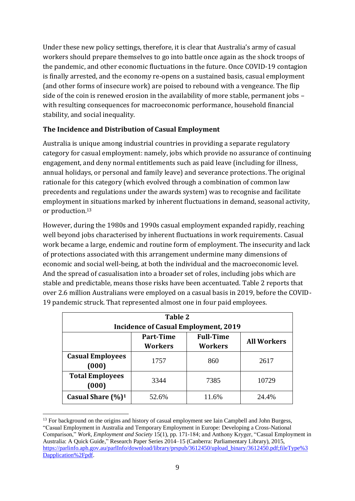Under these new policy settings, therefore, it is clear that Australia's army of casual workers should prepare themselves to go into battle once again as the shock troops of the pandemic, and other economic fluctuations in the future. Once COVID-19 contagion is finally arrested, and the economy re-opens on a sustained basis, casual employment (and other forms of insecure work) are poised to rebound with a vengeance. The flip side of the coin is renewed erosion in the availability of more stable, permanent jobs – with resulting consequences for macroeconomic performance, household financial stability, and social inequality.

# **The Incidence and Distribution of Casual Employment**

Australia is unique among industrial countries in providing a separate regulatory category for casual employment: namely, jobs which provide no assurance of continuing engagement, and deny normal entitlements such as paid leave (including for illness, annual holidays, or personal and family leave) and severance protections. The original rationale for this category (which evolved through a combination of common law precedents and regulations under the awards system) was to recognise and facilitate employment in situations marked by inherent fluctuations in demand, seasonal activity, or production.<sup>13</sup>

However, during the 1980s and 1990s casual employment expanded rapidly, reaching well beyond jobs characterised by inherent fluctuations in work requirements. Casual work became a large, endemic and routine form of employment. The insecurity and lack of protections associated with this arrangement undermine many dimensions of economic and social well-being, at both the individual and the macroeconomic level. And the spread of casualisation into a broader set of roles, including jobs which are stable and predictable, means those risks have been accentuated. Table 2 reports that over 2.6 million Australians were employed on a casual basis in 2019, before the COVID-19 pandemic struck. That represented almost one in four paid employees.

| Table 2<br><b>Incidence of Casual Employment, 2019</b> |                                    |                                    |                    |  |
|--------------------------------------------------------|------------------------------------|------------------------------------|--------------------|--|
|                                                        | <b>Part-Time</b><br><b>Workers</b> | <b>Full-Time</b><br><b>Workers</b> | <b>All Workers</b> |  |
| <b>Casual Employees</b><br>(000)                       | 1757                               | 860                                | 2617               |  |
| <b>Total Employees</b><br>(000)                        | 3344                               | 7385                               | 10729              |  |
| Casual Share $(\frac{9}{6})^1$                         | 52.6%                              | 11.6%                              | 24.4%              |  |

<sup>&</sup>lt;sup>13</sup> For background on the origins and history of casual employment see Iain Campbell and John Burgess, "Casual Employment in Australia and Temporary Employment in Europe: Developing a Cross-National Comparison," *Work, Employment and Society* 15(1), pp. 171-184; and Anthony Kryger, "Casual Employment in Australia: A Quick Guide," Research Paper Series 2014–15 (Canberra: Parliamentary Library), 2015, [https://parlinfo.aph.gov.au/parlInfo/download/library/prspub/3612450/upload\\_binary/3612450.pdf;fileType%3](https://parlinfo.aph.gov.au/parlInfo/download/library/prspub/3612450/upload_binary/3612450.pdf;fileType%3Dapplication%2Fpdf) [Dapplication%2Fpdf.](https://parlinfo.aph.gov.au/parlInfo/download/library/prspub/3612450/upload_binary/3612450.pdf;fileType%3Dapplication%2Fpdf)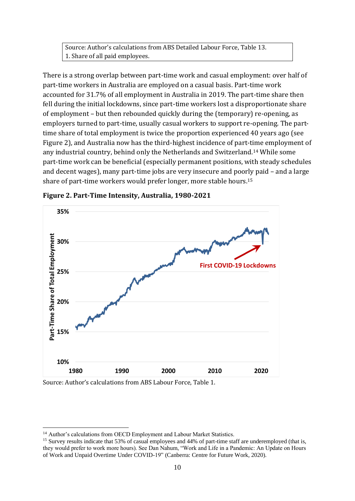Source: Author's calculations from ABS Detailed Labour Force, Table 13. 1. Share of all paid employees.

There is a strong overlap between part-time work and casual employment: over half of part-time workers in Australia are employed on a casual basis. Part-time work accounted for 31.7% of all employment in Australia in 2019. The part-time share then fell during the initial lockdowns, since part-time workers lost a disproportionate share of employment – but then rebounded quickly during the (temporary) re-opening, as employers turned to part-time, usually casual workers to support re-opening. The parttime share of total employment is twice the proportion experienced 40 years ago (see Figure 2), and Australia now has the third-highest incidence of part-time employment of any industrial country, behind only the Netherlands and Switzerland.<sup>14</sup> While some part-time work can be beneficial (especially permanent positions, with steady schedules and decent wages), many part-time jobs are very insecure and poorly paid – and a large share of part-time workers would prefer longer, more stable hours.<sup>15</sup>



**Figure 2. Part-Time Intensity, Australia, 1980-2021**

Source: Author's calculations from ABS Labour Force, Table 1.

<sup>&</sup>lt;sup>14</sup> Author's calculations from OECD Employment and Labour Market Statistics.

<sup>&</sup>lt;sup>15</sup> Survey results indicate that 53% of casual employees and 44% of part-time staff are underemployed (that is, they would prefer to work more hours). See Dan Nahum, "Work and Life in a Pandemic: An Update on Hours of Work and Unpaid Overtime Under COVID-19" (Canberra: Centre for Future Work, 2020).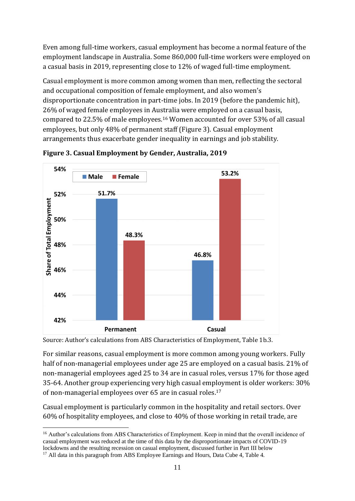Even among full-time workers, casual employment has become a normal feature of the employment landscape in Australia. Some 860,000 full-time workers were employed on a casual basis in 2019, representing close to 12% of waged full-time employment.

Casual employment is more common among women than men, reflecting the sectoral and occupational composition of female employment, and also women's disproportionate concentration in part-time jobs. In 2019 (before the pandemic hit), 26% of waged female employees in Australia were employed on a casual basis, compared to 22.5% of male employees.<sup>16</sup> Women accounted for over 53% of all casual employees, but only 48% of permanent staff (Figure 3). Casual employment arrangements thus exacerbate gender inequality in earnings and job stability.



**Figure 3. Casual Employment by Gender, Australia, 2019**

Source: Author's calculations from ABS Characteristics of Employment, Table 1b.3.

For similar reasons, casual employment is more common among young workers. Fully half of non-managerial employees under age 25 are employed on a casual basis. 21% of non-managerial employees aged 25 to 34 are in casual roles, versus 17% for those aged 35-64. Another group experiencing very high casual employment is older workers: 30% of non-managerial employees over 65 are in casual roles.<sup>17</sup>

Casual employment is particularly common in the hospitality and retail sectors. Over 60% of hospitality employees, and close to 40% of those working in retail trade, are

<sup>&</sup>lt;sup>16</sup> Author's calculations from ABS Characteristics of Employment. Keep in mind that the overall incidence of casual employment was reduced at the time of this data by the disproportionate impacts of COVID-19 lockdowns and the resulting recession on casual employment, discussed further in Part III below

<sup>&</sup>lt;sup>17</sup> All data in this paragraph from ABS Employee Earnings and Hours, Data Cube 4, Table 4.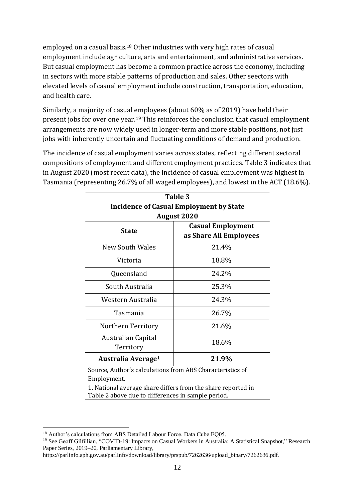employed on a casual basis.<sup>18</sup> Other industries with very high rates of casual employment include agriculture, arts and entertainment, and administrative services. But casual employment has become a common practice across the economy, including in sectors with more stable patterns of production and sales. Other seectors with elevated levels of casual employment include construction, transportation, education, and health care.

Similarly, a majority of casual employees (about 60% as of 2019) have held their present jobs for over one year.<sup>19</sup> This reinforces the conclusion that casual employment arrangements are now widely used in longer-term and more stable positions, not just jobs with inherently uncertain and fluctuating conditions of demand and production.

The incidence of casual employment varies across states, reflecting different sectoral compositions of employment and different employment practices. Table 3 indicates that in August 2020 (most recent data), the incidence of casual employment was highest in Tasmania (representing 26.7% of all waged employees), and lowest in the ACT (18.6%).

| Table 3                                                                                                            |                          |  |  |
|--------------------------------------------------------------------------------------------------------------------|--------------------------|--|--|
| <b>Incidence of Casual Employment by State</b>                                                                     |                          |  |  |
| <b>August 2020</b>                                                                                                 |                          |  |  |
| <b>State</b>                                                                                                       | <b>Casual Employment</b> |  |  |
|                                                                                                                    | as Share All Employees   |  |  |
| New South Wales                                                                                                    | 21.4%                    |  |  |
| Victoria                                                                                                           | 18.8%                    |  |  |
| Queensland                                                                                                         | 24.2%                    |  |  |
| South Australia                                                                                                    | 25.3%                    |  |  |
| Western Australia                                                                                                  | 24.3%                    |  |  |
| Tasmania                                                                                                           | 26.7%                    |  |  |
| Northern Territory                                                                                                 | 21.6%                    |  |  |
| Australian Capital<br>18.6%                                                                                        |                          |  |  |
| Territory                                                                                                          |                          |  |  |
| Australia Average <sup>1</sup>                                                                                     | 21.9%                    |  |  |
| Source, Author's calculations from ABS Characteristics of                                                          |                          |  |  |
| Employment.                                                                                                        |                          |  |  |
| 1. National average share differs from the share reported in<br>Table 2 above due to differences in sample period. |                          |  |  |

<sup>&</sup>lt;sup>18</sup> Author's calculations from ABS Detailed Labour Force, Data Cube EQ05.

<sup>&</sup>lt;sup>19</sup> See Geoff Gilfillian, "COVID-19: Impacts on Casual Workers in Australia: A Statistical Snapshot," Research Paper Series, 2019–20, Parliamentary Library,

https://parlinfo.aph.gov.au/parlInfo/download/library/prspub/7262636/upload\_binary/7262636.pdf.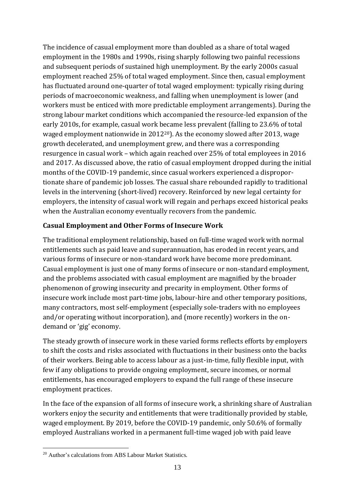The incidence of casual employment more than doubled as a share of total waged employment in the 1980s and 1990s, rising sharply following two painful recessions and subsequent periods of sustained high unemployment. By the early 2000s casual employment reached 25% of total waged employment. Since then, casual employment has fluctuated around one-quarter of total waged employment: typically rising during periods of macroeconomic weakness, and falling when unemployment is lower (and workers must be enticed with more predictable employment arrangements). During the strong labour market conditions which accompanied the resource-led expansion of the early 2010s, for example, casual work became less prevalent (falling to 23.6% of total waged employment nationwide in  $2012^{20}$ ). As the economy slowed after 2013, wage growth decelerated, and unemployment grew, and there was a corresponding resurgence in casual work – which again reached over 25% of total employees in 2016 and 2017. As discussed above, the ratio of casual employment dropped during the initial months of the COVID-19 pandemic, since casual workers experienced a disproportionate share of pandemic job losses. The casual share rebounded rapidly to traditional levels in the intervening (short-lived) recovery. Reinforced by new legal certainty for employers, the intensity of casual work will regain and perhaps exceed historical peaks when the Australian economy eventually recovers from the pandemic.

# **Casual Employment and Other Forms of Insecure Work**

The traditional employment relationship, based on full-time waged work with normal entitlements such as paid leave and superannuation, has eroded in recent years, and various forms of insecure or non-standard work have become more predominant. Casual employment is just one of many forms of insecure or non-standard employment, and the problems associated with casual employment are magnified by the broader phenomenon of growing insecurity and precarity in employment. Other forms of insecure work include most part-time jobs, labour-hire and other temporary positions, many contractors, most self-employment (especially sole-traders with no employees and/or operating without incorporation), and (more recently) workers in the ondemand or 'gig' economy.

The steady growth of insecure work in these varied forms reflects efforts by employers to shift the costs and risks associated with fluctuations in their business onto the backs of their workers. Being able to access labour as a just-in-time, fully flexible input, with few if any obligations to provide ongoing employment, secure incomes, or normal entitlements, has encouraged employers to expand the full range of these insecure employment practices.

In the face of the expansion of all forms of insecure work, a shrinking share of Australian workers enjoy the security and entitlements that were traditionally provided by stable, waged employment. By 2019, before the COVID-19 pandemic, only 50.6% of formally employed Australians worked in a permanent full-time waged job with paid leave

<sup>20</sup> Author's calculations from ABS Labour Market Statistics.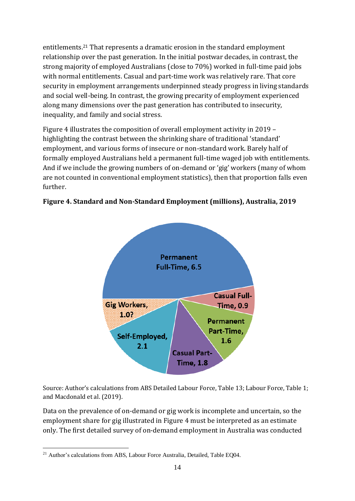entitlements.<sup>21</sup> That represents a dramatic erosion in the standard employment relationship over the past generation. In the initial postwar decades, in contrast, the strong majority of employed Australians (close to 70%) worked in full-time paid jobs with normal entitlements. Casual and part-time work was relatively rare. That core security in employment arrangements underpinned steady progress in living standards and social well-being. In contrast, the growing precarity of employment experienced along many dimensions over the past generation has contributed to insecurity, inequality, and family and social stress.

Figure 4 illustrates the composition of overall employment activity in 2019 – highlighting the contrast between the shrinking share of traditional 'standard' employment, and various forms of insecure or non-standard work. Barely half of formally employed Australians held a permanent full-time waged job with entitlements. And if we include the growing numbers of on-demand or 'gig' workers (many of whom are not counted in conventional employment statistics), then that proportion falls even further.



**Figure 4. Standard and Non-Standard Employment (millions), Australia, 2019**

Source: Author's calculations from ABS Detailed Labour Force, Table 13; Labour Force, Table 1; and Macdonald et al. (2019).

Data on the prevalence of on-demand or gig work is incomplete and uncertain, so the employment share for gig illustrated in Figure 4 must be interpreted as an estimate only. The first detailed survey of on-demand employment in Australia was conducted

<sup>&</sup>lt;sup>21</sup> Author's calculations from ABS, Labour Force Australia, Detailed, Table EQ04.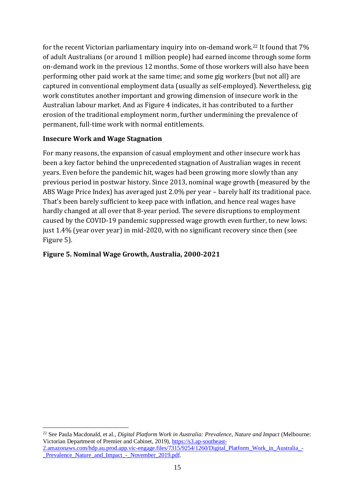for the recent Victorian parliamentary inquiry into on-demand work. <sup>22</sup> It found that 7% of adult Australians (or around 1 million people) had earned income through some form on-demand work in the previous 12 months. Some of those workers will also have been performing other paid work at the same time; and some gig workers (but not all) are captured in conventional employment data (usually as self-employed). Nevertheless, gig work constitutes another important and growing dimension of insecure work in the Australian labour market. And as Figure 4 indicates, it has contributed to a further erosion of the traditional employment norm, further undermining the prevalence of permanent, full-time work with normal entitlements.

#### **Insecure Work and Wage Stagnation**

For many reasons, the expansion of casual employment and other insecure work has been a key factor behind the unprecedented stagnation of Australian wages in recent years. Even before the pandemic hit, wages had been growing more slowly than any previous period in postwar history. Since 2013, nominal wage growth (measured by the ABS Wage Price Index) has averaged just 2.0% per year – barely half its traditional pace. That's been barely sufficient to keep pace with inflation, and hence real wages have hardly changed at all over that 8-year period. The severe disruptions to employment caused by the COVID-19 pandemic suppressed wage growth even further, to new lows: just 1.4% (year over year) in mid-2020, with no significant recovery since then (see Figure 5).

### **Figure 5. Nominal Wage Growth, Australia, 2000-2021**

<sup>22</sup> See Paula Macdonald, et al., *Digital Platform Work in Australia: Prevalence, Nature and Impact* (Melbourne: Victorian Department of Premier and Cabinet, 2019), [https://s3.ap-southeast-](https://s3.ap-southeast-2.amazonaws.com/hdp.au.prod.app.vic-engage.files/7315/9254/1260/Digital_Platform_Work_in_Australia_-_Prevalence_Nature_and_Impact_-_November_2019.pdf)[2.amazonaws.com/hdp.au.prod.app.vic-engage.files/7315/9254/1260/Digital\\_Platform\\_Work\\_in\\_Australia\\_-](https://s3.ap-southeast-2.amazonaws.com/hdp.au.prod.app.vic-engage.files/7315/9254/1260/Digital_Platform_Work_in_Australia_-_Prevalence_Nature_and_Impact_-_November_2019.pdf)

[\\_Prevalence\\_Nature\\_and\\_Impact\\_-\\_November\\_2019.pdf.](https://s3.ap-southeast-2.amazonaws.com/hdp.au.prod.app.vic-engage.files/7315/9254/1260/Digital_Platform_Work_in_Australia_-_Prevalence_Nature_and_Impact_-_November_2019.pdf)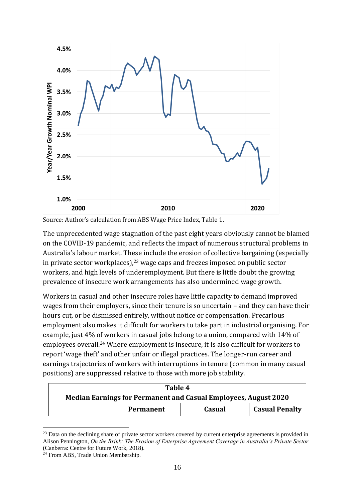

Source: Author's calculation from ABS Wage Price Index, Table 1.

The unprecedented wage stagnation of the past eight years obviously cannot be blamed on the COVID-19 pandemic, and reflects the impact of numerous structural problems in Australia's labour market. These include the erosion of collective bargaining (especially in private sector workplaces), $23$  wage caps and freezes imposed on public sector workers, and high levels of underemployment. But there is little doubt the growing prevalence of insecure work arrangements has also undermined wage growth.

Workers in casual and other insecure roles have little capacity to demand improved wages from their employers, since their tenure is so uncertain – and they can have their hours cut, or be dismissed entirely, without notice or compensation. Precarious employment also makes it difficult for workers to take part in industrial organising. For example, just 4% of workers in casual jobs belong to a union, compared with 14% of employees overall.<sup>24</sup> Where employment is insecure, it is also difficult for workers to report 'wage theft' and other unfair or illegal practices. The longer-run career and earnings trajectories of workers with interruptions in tenure (common in many casual positions) are suppressed relative to those with more job stability.

| Table 4                                                         |           |        |                       |
|-----------------------------------------------------------------|-----------|--------|-----------------------|
| Median Earnings for Permanent and Casual Employees, August 2020 |           |        |                       |
|                                                                 | Permanent | Casual | <b>Casual Penalty</b> |

<sup>&</sup>lt;sup>23</sup> Data on the declining share of private sector workers covered by current enterprise agreements is provided in Alison Pennington, *On the Brink: The Erosion of Enterprise Agreement Coverage in Australia's Private Sector* (Canberra: Centre for Future Work, 2018).

<sup>&</sup>lt;sup>24</sup> From ABS, Trade Union Membership.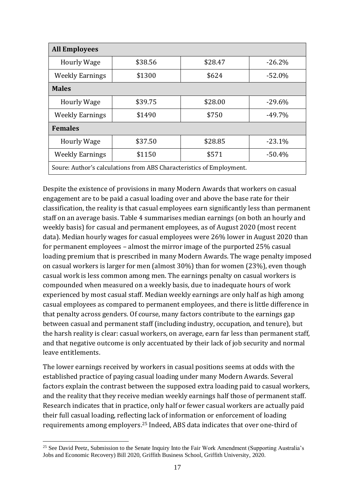| <b>All Employees</b>                                                 |         |         |          |  |
|----------------------------------------------------------------------|---------|---------|----------|--|
| <b>Hourly Wage</b>                                                   | \$38.56 | \$28.47 | $-26.2%$ |  |
| <b>Weekly Earnings</b>                                               | \$1300  | \$624   | $-52.0%$ |  |
| <b>Males</b>                                                         |         |         |          |  |
| <b>Hourly Wage</b>                                                   | \$39.75 | \$28.00 | $-29.6%$ |  |
| <b>Weekly Earnings</b>                                               | \$1490  | \$750   | $-49.7%$ |  |
| <b>Females</b>                                                       |         |         |          |  |
| <b>Hourly Wage</b>                                                   | \$37.50 | \$28.85 | $-23.1%$ |  |
| <b>Weekly Earnings</b>                                               | \$1150  | \$571   | $-50.4%$ |  |
| Soure: Author's calculations from ABS Characteristics of Employment. |         |         |          |  |

Despite the existence of provisions in many Modern Awards that workers on casual engagement are to be paid a casual loading over and above the base rate for their classification, the reality is that casual employees earn significantly less than permanent staff on an average basis. Table 4 summarises median earnings (on both an hourly and weekly basis) for casual and permanent employees, as of August 2020 (most recent data). Median hourly wages for casual employees were 26% lower in August 2020 than for permanent employees – almost the mirror image of the purported 25% casual loading premium that is prescribed in many Modern Awards. The wage penalty imposed on casual workers is larger for men (almost 30%) than for women (23%), even though casual work is less common among men. The earnings penalty on casual workers is compounded when measured on a weekly basis, due to inadequate hours of work experienced by most casual staff. Median weekly earnings are only half as high among casual employees as compared to permanent employees, and there is little difference in that penalty across genders. Of course, many factors contribute to the earnings gap between casual and permanent staff (including industry, occupation, and tenure), but the harsh reality is clear: casual workers, on average, earn far less than permanent staff, and that negative outcome is only accentuated by their lack of job security and normal leave entitlements.

The lower earnings received by workers in casual positions seems at odds with the established practice of paying casual loading under many Modern Awards. Several factors explain the contrast between the supposed extra loading paid to casual workers, and the reality that they receive median weekly earnings half those of permanent staff. Research indicates that in practice, only half or fewer casual workers are actually paid their full casual loading, reflecting lack of information or enforcement of loading requirements among employers.<sup>25</sup> Indeed, ABS data indicates that over one-third of

<sup>&</sup>lt;sup>25</sup> See David Peetz, Submission to the Senate Inquiry Into the Fair Work Amendment (Supporting Australia's Jobs and Economic Recovery) Bill 2020, Griffith Business School, Griffith University, 2020.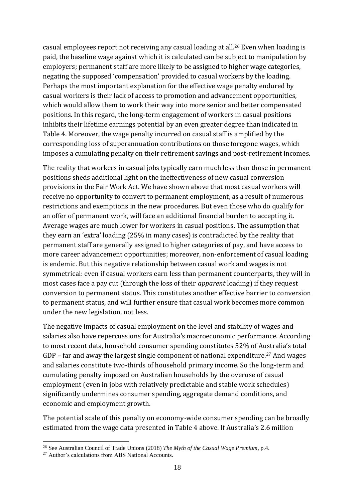casual employees report not receiving any casual loading at all.<sup>26</sup> Even when loading is paid, the baseline wage against which it is calculated can be subject to manipulation by employers; permanent staff are more likely to be assigned to higher wage categories, negating the supposed 'compensation' provided to casual workers by the loading. Perhaps the most important explanation for the effective wage penalty endured by casual workers is their lack of access to promotion and advancement opportunities, which would allow them to work their way into more senior and better compensated positions. In this regard, the long-term engagement of workers in casual positions inhibits their lifetime earnings potential by an even greater degree than indicated in Table 4. Moreover, the wage penalty incurred on casual staff is amplified by the corresponding loss of superannuation contributions on those foregone wages, which imposes a cumulating penalty on their retirement savings and post-retirement incomes.

The reality that workers in casual jobs typically earn much less than those in permanent positions sheds additional light on the ineffectiveness of new casual conversion provisions in the Fair Work Act. We have shown above that most casual workers will receive no opportunity to convert to permanent employment, as a result of numerous restrictions and exemptions in the new procedures. But even those who do qualify for an offer of permanent work, will face an additional financial burden to accepting it. Average wages are much lower for workers in casual positions. The assumption that they earn an 'extra' loading (25% in many cases) is contradicted by the reality that permanent staff are generally assigned to higher categories of pay, and have access to more career advancement opportunities; moreover, non-enforcement of casual loading is endemic. But this negative relationship between casual work and wages is not symmetrical: even if casual workers earn less than permanent counterparts, they will in most cases face a pay cut (through the loss of their *apparent* loading) if they request conversion to permanent status. This constitutes another effective barrier to conversion to permanent status, and will further ensure that casual work becomes more common under the new legislation, not less.

The negative impacts of casual employment on the level and stability of wages and salaries also have repercussions for Australia's macroeconomic performance. According to most recent data, household consumer spending constitutes 52% of Australia's total GDP – far and away the largest single component of national expenditure.<sup>27</sup> And wages and salaries constitute two-thirds of household primary income. So the long-term and cumulating penalty imposed on Australian households by the overuse of casual employment (even in jobs with relatively predictable and stable work schedules) significantly undermines consumer spending, aggregate demand conditions, and economic and employment growth.

The potential scale of this penalty on economy-wide consumer spending can be broadly estimated from the wage data presented in Table 4 above. If Australia's 2.6 million

<sup>26</sup> See Australian Council of Trade Unions (2018) *The Myth of the Casual Wage Premium*, p.4.

<sup>&</sup>lt;sup>27</sup> Author's calculations from ABS National Accounts.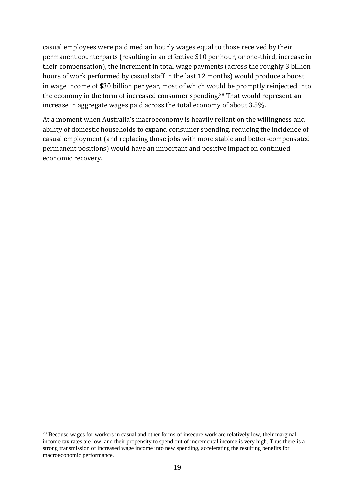casual employees were paid median hourly wages equal to those received by their permanent counterparts (resulting in an effective \$10 per hour, or one-third, increase in their compensation), the increment in total wage payments (across the roughly 3 billion hours of work performed by casual staff in the last 12 months) would produce a boost in wage income of \$30 billion per year, most of which would be promptly reinjected into the economy in the form of increased consumer spending.<sup>28</sup> That would represent an increase in aggregate wages paid across the total economy of about 3.5%.

At a moment when Australia's macroeconomy is heavily reliant on the willingness and ability of domestic households to expand consumer spending, reducing the incidence of casual employment (and replacing those jobs with more stable and better-compensated permanent positions) would have an important and positive impact on continued economic recovery.

<sup>&</sup>lt;sup>28</sup> Because wages for workers in casual and other forms of insecure work are relatively low, their marginal income tax rates are low, and their propensity to spend out of incremental income is very high. Thus there is a strong transmission of increased wage income into new spending, accelerating the resulting benefits for macroeconomic performance.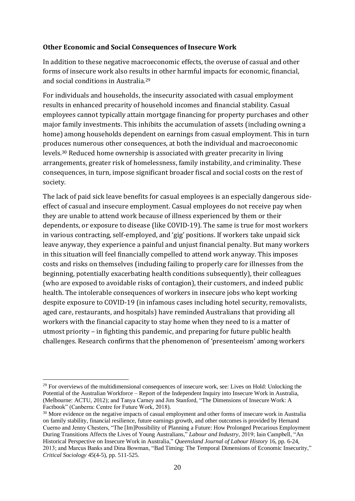#### **Other Economic and Social Consequences of Insecure Work**

In addition to these negative macroeconomic effects, the overuse of casual and other forms of insecure work also results in other harmful impacts for economic, financial, and social conditions in Australia. 29

For individuals and households, the insecurity associated with casual employment results in enhanced precarity of household incomes and financial stability. Casual employees cannot typically attain mortgage financing for property purchases and other major family investments. This inhibits the accumulation of assets (including owning a home) among households dependent on earnings from casual employment. This in turn produces numerous other consequences, at both the individual and macroeconomic levels.<sup>30</sup> Reduced home ownership is associated with greater precarity in living arrangements, greater risk of homelessness, family instability, and criminality. These consequences, in turn, impose significant broader fiscal and social costs on the rest of society.

The lack of paid sick leave benefits for casual employees is an especially dangerous sideeffect of casual and insecure employment. Casual employees do not receive pay when they are unable to attend work because of illness experienced by them or their dependents, or exposure to disease (like COVID-19). The same is true for most workers in various contracting, self-employed, and 'gig' positions. If workers take unpaid sick leave anyway, they experience a painful and unjust financial penalty. But many workers in this situation will feel financially compelled to attend work anyway. This imposes costs and risks on themselves (including failing to properly care for illnesses from the beginning, potentially exacerbating health conditions subsequently), their colleagues (who are exposed to avoidable risks of contagion), their customers, and indeed public health. The intolerable consequences of workers in insecure jobs who kept working despite exposure to COVID-19 (in infamous cases including hotel security, removalists, aged care, restaurants, and hospitals) have reminded Australians that providing all workers with the financial capacity to stay home when they need to is a matter of utmost priority – in fighting this pandemic, and preparing for future public health challenges. Research confirms that the phenomenon of 'presenteeism' among workers

 $29$  For overviews of the multidimensional consequences of insecure work, see: Lives on Hold: Unlocking the Potential of the Australian Workforce – Report of the Independent Inquiry into Insecure Work in Australia, (Melbourne: ACTU, 2012); and Tanya Carney and Jim Stanford, "The Dimensions of Insecure Work: A Factbook" (Canberra: Centre for Future Work, 2018).

<sup>&</sup>lt;sup>30</sup> More evidence on the negative impacts of casual employment and other forms of insecure work in Australia on family stability, financial resilience, future earnings growth, and other outcomes is provided by Hernand Cuerno and Jenny Chesters, "The [Im]Possibility of Planning a Future: How Prolonged Precarious Employment During Transitions Affects the Lives of Young Australians," *Labour and Industry*, 2019; Iain Campbell, "An Historical Perspective on Insecure Work in Australia," *Queensland Journal of Labour History* 16, pp. 6-24, 2013; and Marcus Banks and Dina Bowman, "Bad Timing: The Temporal Dimensions of Economic Insecurity," *Critical Sociology* 45(4-5), pp. 511-525.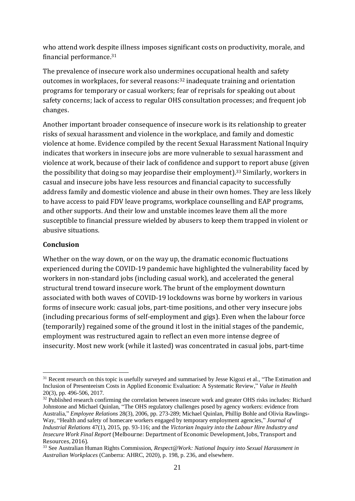who attend work despite illness imposes significant costs on productivity, morale, and financial performance.<sup>31</sup>

The prevalence of insecure work also undermines occupational health and safety outcomes in workplaces, for several reasons:<sup>32</sup> inadequate training and orientation programs for temporary or casual workers; fear of reprisals for speaking out about safety concerns; lack of access to regular OHS consultation processes; and frequent job changes.

Another important broader consequence of insecure work is its relationship to greater risks of sexual harassment and violence in the workplace, and family and domestic violence at home. Evidence compiled by the recent Sexual Harassment National Inquiry indicates that workers in insecure jobs are more vulnerable to sexual harassment and violence at work, because of their lack of confidence and support to report abuse (given the possibility that doing so may jeopardise their employment). <sup>33</sup> Similarly, workers in casual and insecure jobs have less resources and financial capacity to successfully address family and domestic violence and abuse in their own homes. They are less likely to have access to paid FDV leave programs, workplace counselling and EAP programs, and other supports. And their low and unstable incomes leave them all the more susceptible to financial pressure wielded by abusers to keep them trapped in violent or abusive situations.

#### **Conclusion**

Whether on the way down, or on the way up, the dramatic economic fluctuations experienced during the COVID-19 pandemic have highlighted the vulnerability faced by workers in non-standard jobs (including casual work), and accelerated the general structural trend toward insecure work. The brunt of the employment downturn associated with both waves of COVID-19 lockdowns was borne by workers in various forms of insecure work: casual jobs, part-time positions, and other very insecure jobs (including precarious forms of self-employment and gigs). Even when the labour force (temporarily) regained some of the ground it lost in the initial stages of the pandemic, employment was restructured again to reflect an even more intense degree of insecurity. Most new work (while it lasted) was concentrated in casual jobs, part-time

<sup>&</sup>lt;sup>31</sup> Recent research on this topic is usefully surveyed and summarised by Jesse Kigozi et al., "The Estimation and Inclusion of Presenteeism Costs in Applied Economic Evaluation: A Systematic Review," *Value in Health* 20(3), pp. 496-506, 2017.

<sup>&</sup>lt;sup>32</sup> Published research confirming the correlation between insecure work and greater OHS risks includes: Richard Johnstone and Michael Quinlan, "The OHS regulatory challenges posed by agency workers: evidence from Australia," *Employee Relations* 28(3), 2006, pp. 273-289; Michael Quinlan, Phillip Bohle and Olivia Rawlings-Way, "Health and safety of homecare workers engaged by temporary employment agencies," *Journal of Industrial Relations* 47(1), 2015, pp. 93-116; and the *Victorian Inquiry into the Labour Hire Industry and Insecure Work Final Report* (Melbourne: Department of Economic Development, Jobs, Transport and Resources, 2016).

<sup>33</sup> See Australian Human Rights Commission, *Respect@Work: National Inquiry into Sexual Harassment in Australian Workplaces* (Canberra: AHRC, 2020), p. 198, p. 236, and elsewhere.